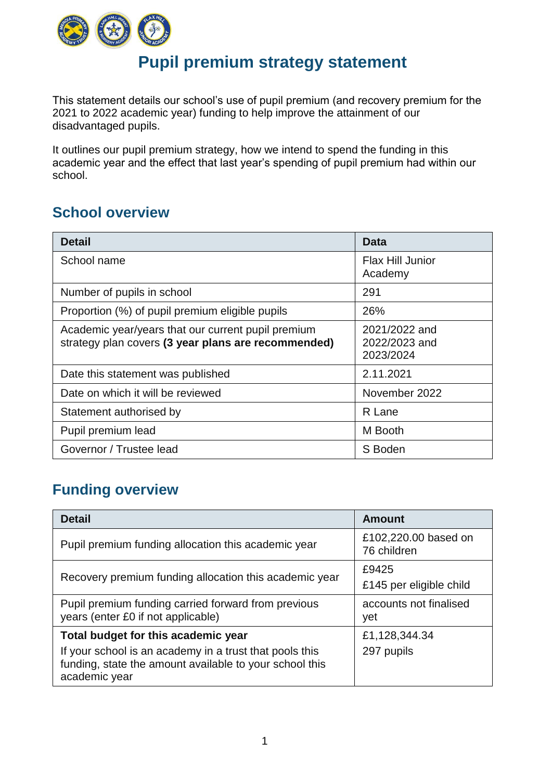

## **Pupil premium strategy statement**

This statement details our school's use of pupil premium (and recovery premium for the 2021 to 2022 academic year) funding to help improve the attainment of our disadvantaged pupils.

It outlines our pupil premium strategy, how we intend to spend the funding in this academic year and the effect that last year's spending of pupil premium had within our school.

## **School overview**

| <b>Detail</b>                                                                                             | Data                                        |
|-----------------------------------------------------------------------------------------------------------|---------------------------------------------|
| School name                                                                                               | <b>Flax Hill Junior</b><br>Academy          |
| Number of pupils in school                                                                                | 291                                         |
| Proportion (%) of pupil premium eligible pupils                                                           | 26%                                         |
| Academic year/years that our current pupil premium<br>strategy plan covers (3 year plans are recommended) | 2021/2022 and<br>2022/2023 and<br>2023/2024 |
| Date this statement was published                                                                         | 2.11.2021                                   |
| Date on which it will be reviewed                                                                         | November 2022                               |
| Statement authorised by                                                                                   | R Lane                                      |
| Pupil premium lead                                                                                        | M Booth                                     |
| Governor / Trustee lead                                                                                   | S Boden                                     |

## **Funding overview**

| <b>Detail</b>                                                                                                                                                              | <b>Amount</b>                       |
|----------------------------------------------------------------------------------------------------------------------------------------------------------------------------|-------------------------------------|
| Pupil premium funding allocation this academic year                                                                                                                        | £102,220.00 based on<br>76 children |
| Recovery premium funding allocation this academic year                                                                                                                     | £9425<br>£145 per eligible child    |
| Pupil premium funding carried forward from previous<br>years (enter £0 if not applicable)                                                                                  | accounts not finalised<br>yet       |
| Total budget for this academic year<br>If your school is an academy in a trust that pools this<br>funding, state the amount available to your school this<br>academic year | £1,128,344.34<br>297 pupils         |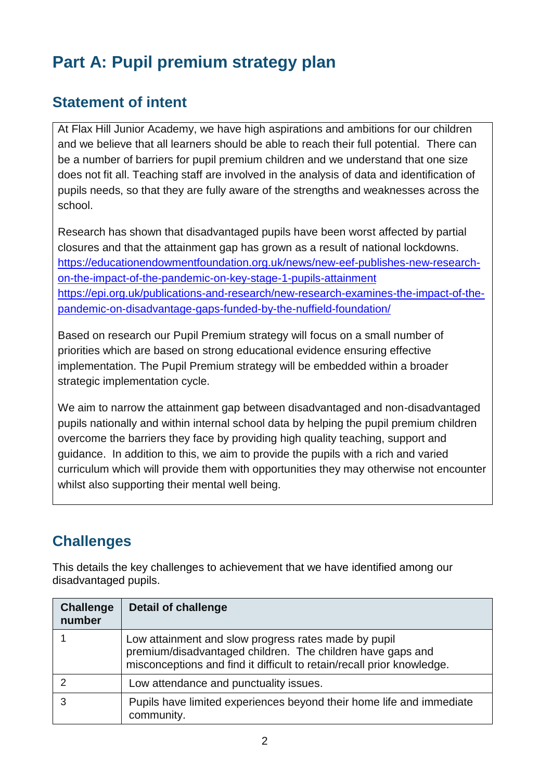# **Part A: Pupil premium strategy plan**

## **Statement of intent**

At Flax Hill Junior Academy, we have high aspirations and ambitions for our children and we believe that all learners should be able to reach their full potential. There can be a number of barriers for pupil premium children and we understand that one size does not fit all. Teaching staff are involved in the analysis of data and identification of pupils needs, so that they are fully aware of the strengths and weaknesses across the school.

Research has shown that disadvantaged pupils have been worst affected by partial closures and that the attainment gap has grown as a result of national lockdowns. [https://educationendowmentfoundation.org.uk/news/new-eef-publishes-new-research](https://educationendowmentfoundation.org.uk/news/new-eef-publishes-new-research-on-the-impact-of-the-pandemic-on-key-stage-1-pupils-attainment)[on-the-impact-of-the-pandemic-on-key-stage-1-pupils-attainment](https://educationendowmentfoundation.org.uk/news/new-eef-publishes-new-research-on-the-impact-of-the-pandemic-on-key-stage-1-pupils-attainment) [https://epi.org.uk/publications-and-research/new-research-examines-the-impact-of-the](https://epi.org.uk/publications-and-research/new-research-examines-the-impact-of-the-pandemic-on-disadvantage-gaps-funded-by-the-nuffield-foundation/)[pandemic-on-disadvantage-gaps-funded-by-the-nuffield-foundation/](https://epi.org.uk/publications-and-research/new-research-examines-the-impact-of-the-pandemic-on-disadvantage-gaps-funded-by-the-nuffield-foundation/)

Based on research our Pupil Premium strategy will focus on a small number of priorities which are based on strong educational evidence ensuring effective implementation. The Pupil Premium strategy will be embedded within a broader strategic implementation cycle.

We aim to narrow the attainment gap between disadvantaged and non-disadvantaged pupils nationally and within internal school data by helping the pupil premium children overcome the barriers they face by providing high quality teaching, support and guidance. In addition to this, we aim to provide the pupils with a rich and varied curriculum which will provide them with opportunities they may otherwise not encounter whilst also supporting their mental well being.

## **Challenges**

This details the key challenges to achievement that we have identified among our disadvantaged pupils.

| <b>Challenge</b><br>number | <b>Detail of challenge</b>                                                                                                                                                                   |
|----------------------------|----------------------------------------------------------------------------------------------------------------------------------------------------------------------------------------------|
|                            | Low attainment and slow progress rates made by pupil<br>premium/disadvantaged children. The children have gaps and<br>misconceptions and find it difficult to retain/recall prior knowledge. |
|                            | Low attendance and punctuality issues.                                                                                                                                                       |
|                            | Pupils have limited experiences beyond their home life and immediate<br>community.                                                                                                           |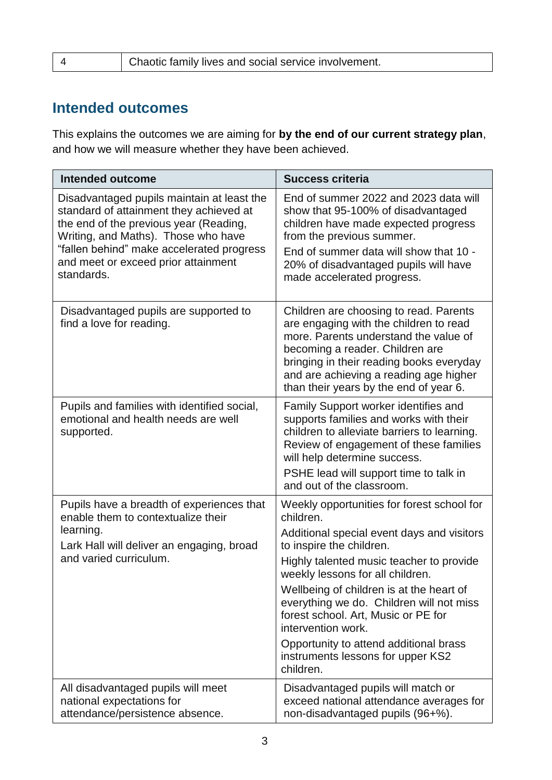4 Chaotic family lives and social service involvement.

### **Intended outcomes**

This explains the outcomes we are aiming for **by the end of our current strategy plan**, and how we will measure whether they have been achieved.

| <b>Intended outcome</b>                                                                                                                                                                                                                                                  | <b>Success criteria</b>                                                                                                                                                                                                                                                                                                                                                                                                                                            |
|--------------------------------------------------------------------------------------------------------------------------------------------------------------------------------------------------------------------------------------------------------------------------|--------------------------------------------------------------------------------------------------------------------------------------------------------------------------------------------------------------------------------------------------------------------------------------------------------------------------------------------------------------------------------------------------------------------------------------------------------------------|
| Disadvantaged pupils maintain at least the<br>standard of attainment they achieved at<br>the end of the previous year (Reading,<br>Writing, and Maths). Those who have<br>"fallen behind" make accelerated progress<br>and meet or exceed prior attainment<br>standards. | End of summer 2022 and 2023 data will<br>show that 95-100% of disadvantaged<br>children have made expected progress<br>from the previous summer.<br>End of summer data will show that 10 -<br>20% of disadvantaged pupils will have<br>made accelerated progress.                                                                                                                                                                                                  |
| Disadvantaged pupils are supported to<br>find a love for reading.                                                                                                                                                                                                        | Children are choosing to read. Parents<br>are engaging with the children to read<br>more. Parents understand the value of<br>becoming a reader. Children are<br>bringing in their reading books everyday<br>and are achieving a reading age higher<br>than their years by the end of year 6.                                                                                                                                                                       |
| Pupils and families with identified social,<br>emotional and health needs are well<br>supported.                                                                                                                                                                         | Family Support worker identifies and<br>supports families and works with their<br>children to alleviate barriers to learning.<br>Review of engagement of these families<br>will help determine success.<br>PSHE lead will support time to talk in<br>and out of the classroom.                                                                                                                                                                                     |
| Pupils have a breadth of experiences that<br>enable them to contextualize their<br>learning.<br>Lark Hall will deliver an engaging, broad<br>and varied curriculum.                                                                                                      | Weekly opportunities for forest school for<br>children.<br>Additional special event days and visitors<br>to inspire the children.<br>Highly talented music teacher to provide<br>weekly lessons for all children.<br>Wellbeing of children is at the heart of<br>everything we do. Children will not miss<br>forest school. Art, Music or PE for<br>intervention work.<br>Opportunity to attend additional brass<br>instruments lessons for upper KS2<br>children. |
| All disadvantaged pupils will meet<br>national expectations for<br>attendance/persistence absence.                                                                                                                                                                       | Disadvantaged pupils will match or<br>exceed national attendance averages for<br>non-disadvantaged pupils (96+%).                                                                                                                                                                                                                                                                                                                                                  |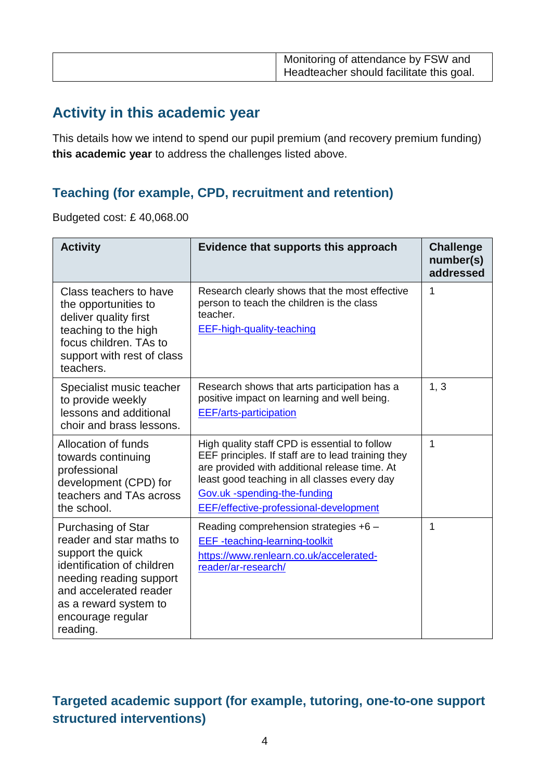|  | Monitoring of attendance by FSW and<br>Headteacher should facilitate this goal. |
|--|---------------------------------------------------------------------------------|
|--|---------------------------------------------------------------------------------|

## **Activity in this academic year**

This details how we intend to spend our pupil premium (and recovery premium funding) **this academic year** to address the challenges listed above.

#### **Teaching (for example, CPD, recruitment and retention)**

Budgeted cost: £ 40,068.00

| <b>Activity</b>                                                                                                                                                                                                  | Evidence that supports this approach                                                                                                                                                                                                                                           | <b>Challenge</b><br>number(s)<br>addressed |
|------------------------------------------------------------------------------------------------------------------------------------------------------------------------------------------------------------------|--------------------------------------------------------------------------------------------------------------------------------------------------------------------------------------------------------------------------------------------------------------------------------|--------------------------------------------|
| Class teachers to have<br>the opportunities to<br>deliver quality first<br>teaching to the high<br>focus children. TAs to<br>support with rest of class<br>teachers.                                             | Research clearly shows that the most effective<br>person to teach the children is the class<br>teacher.<br><b>EEF-high-quality-teaching</b>                                                                                                                                    | 1                                          |
| Specialist music teacher<br>to provide weekly<br>lessons and additional<br>choir and brass lessons.                                                                                                              | Research shows that arts participation has a<br>positive impact on learning and well being.<br><b>EEF/arts-participation</b>                                                                                                                                                   | 1, 3                                       |
| Allocation of funds<br>towards continuing<br>professional<br>development (CPD) for<br>teachers and TAs across<br>the school.                                                                                     | High quality staff CPD is essential to follow<br>EEF principles. If staff are to lead training they<br>are provided with additional release time. At<br>least good teaching in all classes every day<br>Gov.uk -spending-the-funding<br>EEF/effective-professional-development | 1                                          |
| Purchasing of Star<br>reader and star maths to<br>support the quick<br>identification of children<br>needing reading support<br>and accelerated reader<br>as a reward system to<br>encourage regular<br>reading. | Reading comprehension strategies +6 -<br><b>EEF</b> -teaching-learning-toolkit<br>https://www.renlearn.co.uk/accelerated-<br>reader/ar-research/                                                                                                                               | 1                                          |

## **Targeted academic support (for example, tutoring, one-to-one support structured interventions)**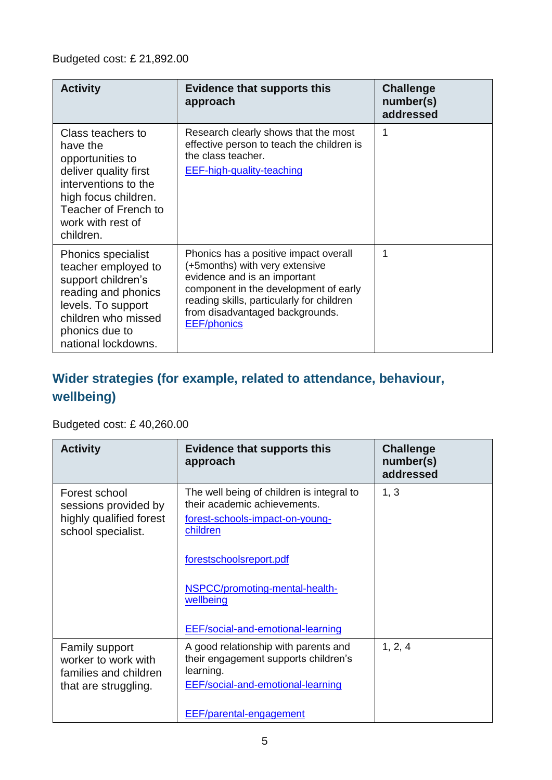| <b>Activity</b>                                                                                                                                                                      | Evidence that supports this<br>approach                                                                                                                                                                                                                | <b>Challenge</b><br>number(s)<br>addressed |
|--------------------------------------------------------------------------------------------------------------------------------------------------------------------------------------|--------------------------------------------------------------------------------------------------------------------------------------------------------------------------------------------------------------------------------------------------------|--------------------------------------------|
| Class teachers to<br>have the<br>opportunities to<br>deliver quality first<br>interventions to the<br>high focus children.<br>Teacher of French to<br>work with rest of<br>children. | Research clearly shows that the most<br>effective person to teach the children is<br>the class teacher.<br><b>EEF-high-quality-teaching</b>                                                                                                            | 1                                          |
| <b>Phonics specialist</b><br>teacher employed to<br>support children's<br>reading and phonics<br>levels. To support<br>children who missed<br>phonics due to<br>national lockdowns.  | Phonics has a positive impact overall<br>(+5months) with very extensive<br>evidence and is an important<br>component in the development of early<br>reading skills, particularly for children<br>from disadvantaged backgrounds.<br><b>EEF/phonics</b> | 1                                          |

## **Wider strategies (for example, related to attendance, behaviour, wellbeing)**

#### Budgeted cost: £ 40,260.00

| <b>Activity</b>                                                                        | <b>Evidence that supports this</b><br>approach                                                                                                                   | <b>Challenge</b><br>number(s)<br>addressed |
|----------------------------------------------------------------------------------------|------------------------------------------------------------------------------------------------------------------------------------------------------------------|--------------------------------------------|
| Forest school<br>sessions provided by<br>highly qualified forest<br>school specialist. | The well being of children is integral to<br>their academic achievements.<br>forest-schools-impact-on-young-<br>children                                         | 1, 3                                       |
|                                                                                        | forestschoolsreport.pdf<br>NSPCC/promoting-mental-health-<br>wellbeing<br><b>EEF/social-and-emotional-learning</b>                                               |                                            |
| Family support<br>worker to work with<br>families and children<br>that are struggling. | A good relationship with parents and<br>their engagement supports children's<br>learning.<br>EEF/social-and-emotional-learning<br><b>EEF/parental-engagement</b> | 1, 2, 4                                    |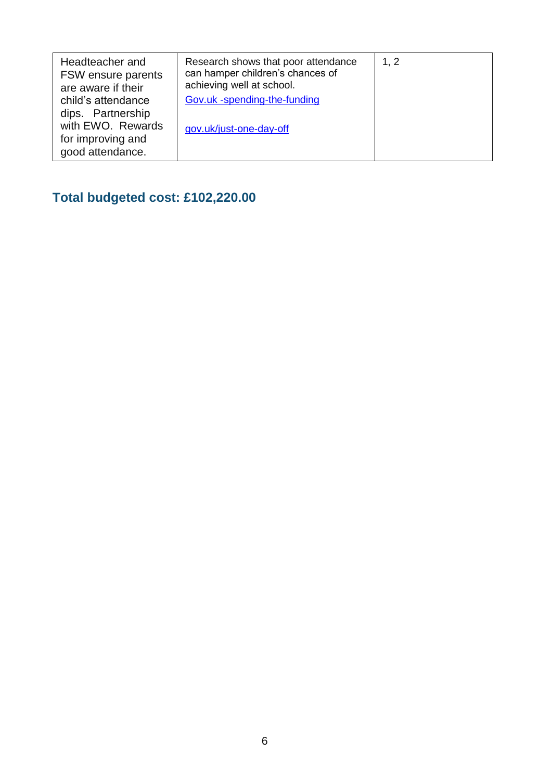| Headteacher and<br>FSW ensure parents<br>are aware if their<br>child's attendance<br>dips. Partnership<br>with EWO. Rewards | Research shows that poor attendance<br>can hamper children's chances of<br>achieving well at school.<br>Gov.uk -spending-the-funding<br>gov.uk/just-one-day-off | 1, 2 |
|-----------------------------------------------------------------------------------------------------------------------------|-----------------------------------------------------------------------------------------------------------------------------------------------------------------|------|
| for improving and<br>good attendance.                                                                                       |                                                                                                                                                                 |      |

## **Total budgeted cost: £102,220.00**